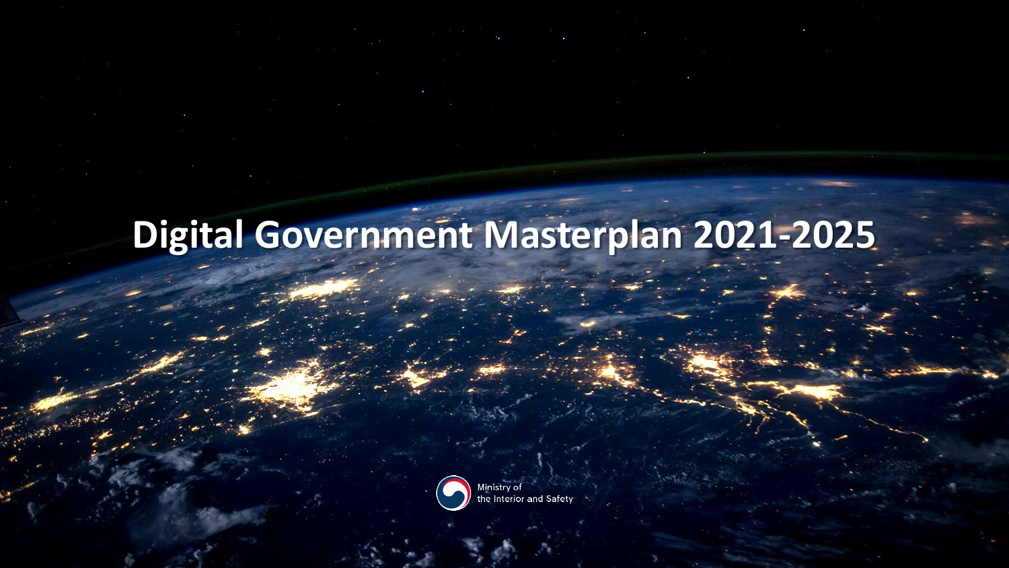# **Digital Government Masterplan 2021-2025**

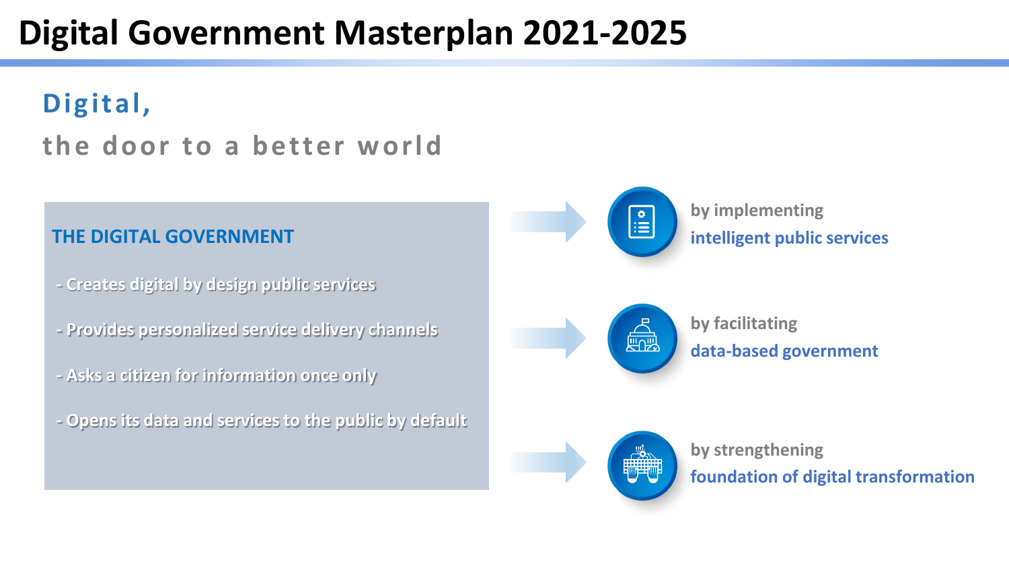# **Digital Government Masterplan 2021-2025**

# **Digital, the door to a better world**



- **- Creates digital by design public services**
- **- Provides personalized service delivery channels**
- **- Asks a citizen for information once only**
- **- Opens its data and services to the public by default**

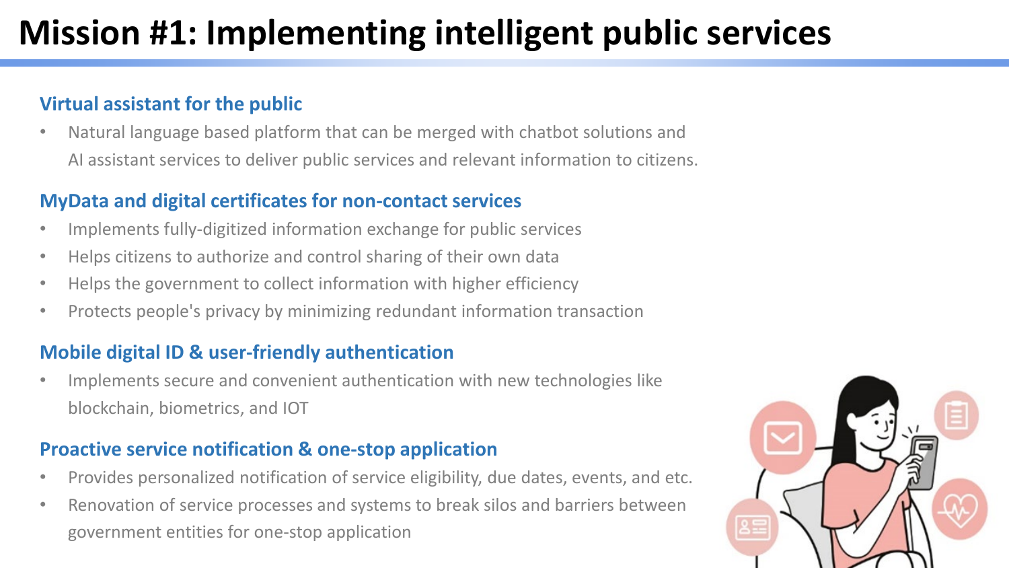# **Mission #1: Implementing intelligent public services**

# **Virtual assistant for the public**

• Natural language based platform that can be merged with chatbot solutions and AI assistant services to deliver public services and relevant information to citizens.

### **MyData and digital certificates for non-contact services**

- Implements fully-digitized information exchange for public services
- Helps citizens to authorize and control sharing of their own data
- Helps the government to collect information with higher efficiency
- Protects people's privacy by minimizing redundant information transaction

# **Mobile digital ID & user-friendly authentication**

• Implements secure and convenient authentication with new technologies like blockchain, biometrics, and IOT

### **Proactive service notification & one-stop application**

- Provides personalized notification of service eligibility, due dates, events, and etc.
- Renovation of service processes and systems to break silos and barriers between government entities for one-stop application

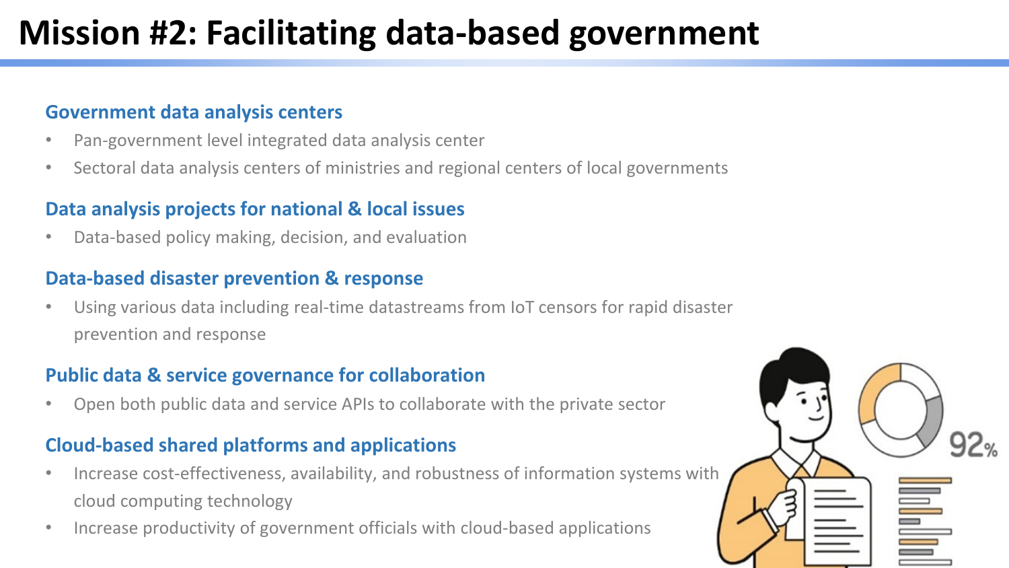# **Mission #2: Facilitating data-based government**

#### **Government data analysis centers**

- Pan-government level integrated data analysis center
- Sectoral data analysis centers of ministries and regional centers of local governments

#### **Data analysis projects for national & local issues**

• Data-based policy making, decision, and evaluation

#### **Data-based disaster prevention & response**

• Using various data including real-time datastreams from IoT censors for rapid disaster prevention and response

#### **Public data & service governance for collaboration**

• Open both public data and service APIs to collaborate with the private sector

### **Cloud-based shared platforms and applications**

- Increase cost-effectiveness, availability, and robustness of information systems with cloud computing technology
- Increase productivity of government officials with cloud-based applications